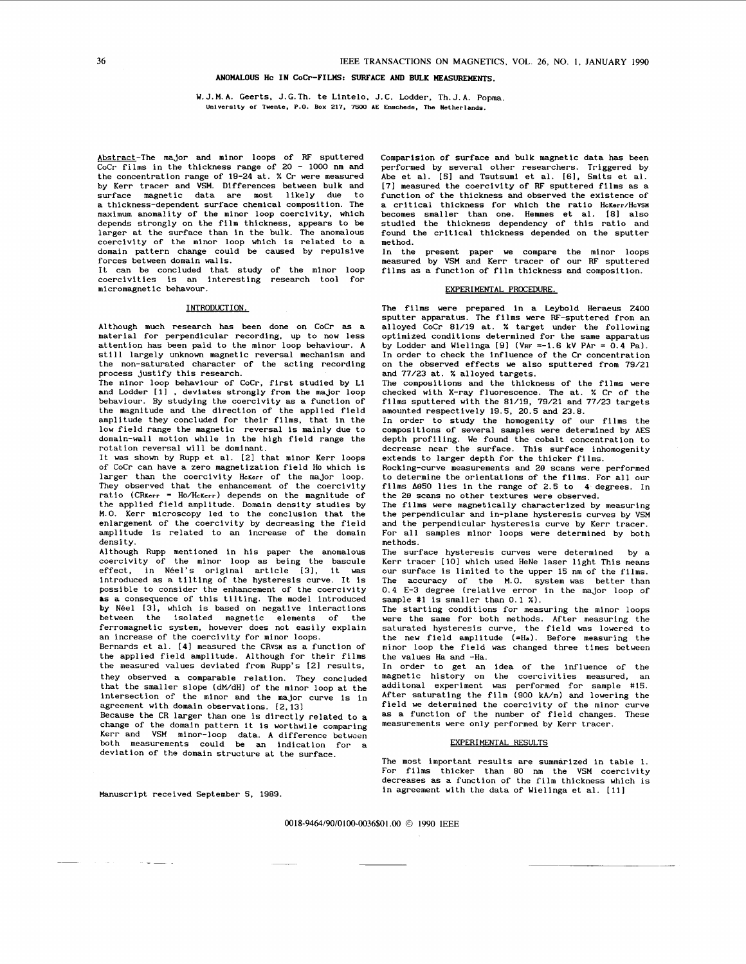# **ANOMALOUS Hc IN CoCr-FILMS: SURFACE** *AND* **BULK IIEASUREwEm.**

### W.J.M.A. Geerts, J.G.Th. te Lintelo. J.C. Lodder, Th.J.A. Popma. Universlty of Tuente, P.O. Box **217,** *7500* **AE** Enschede, The Netherlands.

<span id="page-0-0"></span>Abstract-The major and minor loops of RF sputtered CoCr films in the thickness range of **<sup>20</sup>**- **<sup>1000</sup>**nm and the concentration range of **19-24** at. % Cr were measured by Kerr tracer and VSM. Differences between bulk and surface magnetic data are most likely due to a thickness-dependent surface chemical composition. The maximum anomality of the minor loop coercivity, which<br>depends strongly on the film thickness, appears to be<br>larger at the surface than in the bulk. The anomalous<br>coercivity of the minor loop which is related to a domain pattern change could be caused by repulsive forces between domain walls.

It can be concluded that study of the minor loop coercivities is an interesting research tool for micromagnetic behavour.

### INTRODUCTION.

Although much research has been done on CoCr as a material for perpendicular recording, up to now less attention has been paid to the minor loop behaviour. A still largely unknown magnetic reversal mechanism and the non-saturated character of the acting recording process justify this research.

The minor loop behaviour of CoCr, first studied by Li and Lodder **[11** , deviates strongly from the major loop behaviour. By studying the coercivity as a function of the magnitude and the direction of the applied field amplitude they concluded for their films, that in the low field range the magnetic reversal is mainly due to domain-wall motion while in the high field range the rotation reversal will be dominant.

It was shown by Rupp et al. **[21** that minor Kerr loops of CoCr can have a zero magnetization field Ho which is larger than the coercivity HcKerr of the major loop. They observed that the enhancement of the coercivity ratio (CRKerr = HO/HcKerr) depends on the magnitude of the applied field amplitude. Domain density studies by **M.O.** Kerr microscopy led to the conclusion that the enlargement of the coercivity by decreasing the field amplitude is related to an increase of the domain density.

Although Rupp mentioned in his paper the anomalous<br>coercivity of the minor loop as being the bascule<br>effect, in Néel's original article [3], it was introduced as a tilting of the hysteresis curve. It is possible to consider the enhancement of the coercivity **as** a consequence of this tilting. The model introduced by Néel [3], which is based on negative interactions<br>between the isolated magnetic elements of the<br>ferromagnetic system, however does not easily explain an increase of the coercivity for minor loops.

Bernards et al. **[41** measured the CRvsn as a function of the applied field amplitude. Although for their films the measured values deviated from Rupp's **(21** results, they observed a comparable relation. They concluded that the smaller slope (dM/dH) of the minor loop at the intersection of the minor and the major curve is in agreement with domain observations. **(2,131** 

Because the CR larger than one is directly related to a change of the domain pattern it is worthwile comparing change of the domain pattern it is worthwile comparing Kerr and VSM minor-loop data. A difference between both measurements could be an indication for a deviation of the domain structure at the surface.

 $\sim$   $\sim$   $\sim$ 

Comparision of surface and bulk magnetic data has been performed by several other researchers. Triggered by Abe et al. **[SI** and Tsutsumi et al. **[61,** Smits et al. **[7]** measured the coercivity of **RF** sputtered films as a function of the thickness and observed the existence of a critical thickness for which the ratio HcKerr/HcVsn becomes smaller than one. Henunes et al. **[El** also studied the thickness dependency of this ratio and found the critical thickness depended on the sputter method.

In the present paper we compare the minor loops measured by VSM and Kerr tracer of our RF sputtered films as a function of film thickness and composition.

#### EXPERIMENTAL PROCEDURE.

The films were prepared in a Leybold Heraeus **2400**  sputter apparatus. The films were RF-sputtered from an alloyed CoCr **81/19** at. % target under the following optimized conditions determined for the same apparatus by Lodder and Wielinga **[91** (VRF **=-1.6** kV PAr = **0.4** Pa). In order to check the influence of the Cr concentration on the observed effects we also sputtered from **79/21**  and **77/23** at. % alloyed targets.<br>The compositions and the thickness of the films were

checked with X-ray fluorescence. The at. % Cr of the films sputtered with the **81/19, 79/21** and **77/23** targets amounted respectively **19.5. 20.5** and **23.8.** 

In order to study the homogenity of our films the compositions of several samples were determined by AES depth profiling. We found the cobalt concentration to decrease near the surface. This surface inhomogenity extends to larger depth for the thicker films.

Rocking-curve measurements and **29** scans were performed to determine the orientations of the films. For all our films **8950** lies in the range of **2.5** to 4 degrees. In the *28* scans no other textures were observed.

The films were magnetically characterized by measuring the perpendicular and in-plane hysteresis curves by VSM and the perpendicular hysteresis curve by Kerr tracer. For all samples minor loops were determined by both met hods.

The surface hysteresis curves were determined by a Kerr tracer **[lo]** which used HeNe laser light This means our surface is limited to the upper **15** nm of the films. The accuracy of the M.O. system was better than **0.4 E-3** degree (relative error in the major loop of sample #1 is smaller than 0.1 %).

The starting conditions for measuring the minor loops were the same for both methods. After measuring the saturated hysteresis curve, the field **was** lowered to the new field amplitude (=Ha). Before measuring the minor loop the field was changed three times between the values Ha and -Ha.

In order to get an idea of the influence of the magnetic history on the coercivities measured, an additonal experiment was performed for sample **#15.**  After saturating the film (900 kA/m) and lowering the field we determined the coercivity of the minor curve as a function of the number of field changes. These measurements were only performed by Kerr tracer.

### EXPERIMENTAL RESULTS

The most important results are summarized in table 1. For films thicker than **80** nm the VSM coercivity decreases as a function of the film thickness which is in agreement with the data of Wielinga et al. **[111** Manuscript received September **5, 1989.** 

**OO18-9464/90/01OO-OO36\$01** *.OO O* **1990 IEEE**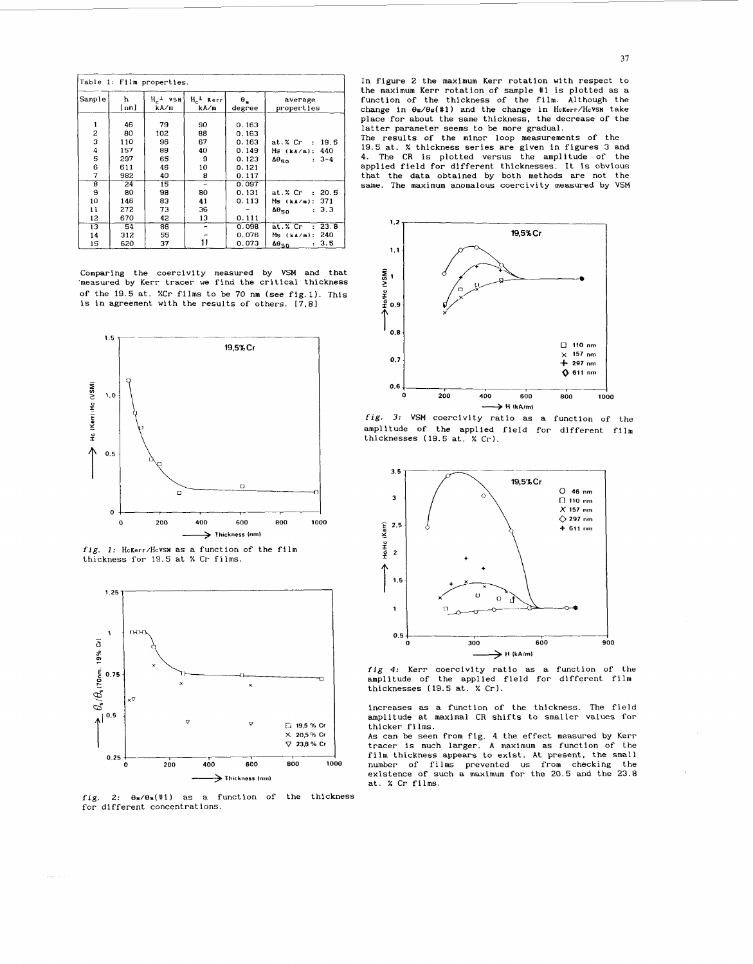| Table 1: Film properties. |            |                              |                      |                      |                                                        |  |  |  |
|---------------------------|------------|------------------------------|----------------------|----------------------|--------------------------------------------------------|--|--|--|
| Sample                    | ħ<br>[nm]  | $H^{-}$ $\sim$ $48H$<br>kA∕m | $H_c$ Kerr<br>kA∕m   | $\theta_n$<br>degree | average<br>properties                                  |  |  |  |
| 1<br>$\overline{c}$       | 46<br>80   | 79<br>102                    | 90<br>88             | 0.163<br>0.163       |                                                        |  |  |  |
| 3<br>4                    | 110<br>157 | 96<br>88                     | 67<br>40             | 0.163<br>0.149       | at. $X$ Cr : 19.5<br>440                               |  |  |  |
| 5                         | 297        | 65                           | 9                    | 0.123                | Ms (ka/m);<br>$: 3-4$<br>$\Delta\theta_{50}$           |  |  |  |
| 6<br>7                    | 611<br>982 | 46<br>40                     | 10<br>8              | 0.121<br>0.117       |                                                        |  |  |  |
| 8<br>9                    | 24<br>80   | 15<br>98                     | $\overline{a}$<br>80 | 0.097<br>0.131       | at.% Cr<br>: 20.5                                      |  |  |  |
| 10<br>11                  | 146<br>272 | 83<br>73                     | 41<br>36             | 0.113                | 371<br>Ms (kA/m):<br>: 3.3                             |  |  |  |
| 12                        | 670        | 42                           | 13                   | 0.111                | $\Delta\theta_{50}$                                    |  |  |  |
| 13<br>14                  | 54<br>312  | 86<br>55                     |                      | 0.098<br>0.076       | 23.8<br>$at. %$ $Cr$<br>$\bullet$<br>240<br>Ms (kA/m): |  |  |  |
| 15                        | 620        | 37                           |                      | 0.073                | 3.5<br>$\Delta\theta_{50}$<br>٠.                       |  |  |  |

Comparing the coercivity measured by VSM and that 'measured by Kerr tracer we find the critical thickness of the 19.5 at. %Cr films to be 70 nm (see fig.1). This is in agreement with the results of others.  $[7,8]$ 



fig. 1: HcKerr/HcVSM as a function of the film thickness for 19.5 at % Cr films.



fig. 2:  $\theta$ s/ $\theta$ s(#1) as a function of the thickness for different concentrations.

In figure 2 the maximum Kerr rotation with respect to the maximum Kerr rotation of sample #1 is plotted as a function of the thickness of the film. Although the change in €Js/€Js(#l) and the change in **HcKerr/HcVSH** take place for about the same thickness, the decrease of the latter parameter seems to be more gradual.

The results of the minor loop measurements of the 19.5 at. % thickness series are given in figures **3** and 4. The CR is plotted versus the amplitude of the applied field for different thicknesses. It is obvious that the data obtained by both methods are not the same. The maximum anomalous coercivity measured by VSM







increases as a function of the thickness. The field amplitude at maximal CR shifts to smaller values for thicker films.

As can be seen from fig. 4 the effect measured by Kerr tracer is much larger. A maximum as function of the film thickness appears to exist. At present, the small number of films prevented us from checking the existence of such a maximum for the 20.5 and the 23.8 at. % Cr films.